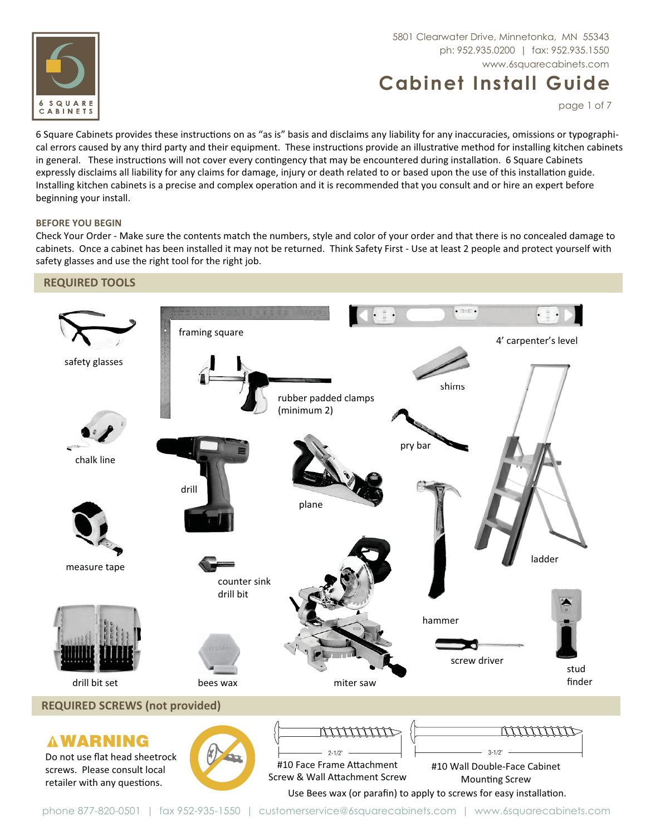

# 5801 Clearwater Drive, Minnetonka, MN 55343 www.6squarecabinets.com

# **Cabinet Install Guide**

page 1 of 7

6 Square Cabinets provides these instructions on as "as is" basis and disclaims any liability for any inaccuracies, omissions or typographical errors caused by any third party and their equipment. These instructions provide an illustrative method for installing kitchen cabinets in general. These instructions will not cover every contingency that may be encountered during installation. 6 Square Cabinets expressly disclaims all liability for any claims for damage, injury or death related to or based upon the use of this installation guide. Installing kitchen cabinets is a precise and complex operation and it is recommended that you consult and or hire an expert before beginning your install.

#### **BEFORE YOU BEGIN**

Check Your Order - Make sure the contents match the numbers, style and color of your order and that there is no concealed damage to cabinets. Once a cabinet has been installed it may not be returned. Think Safety First - Use at least 2 people and protect yourself with safety glasses and use the right tool for the right job.

## **REQUIRED TOOLS**



phone 877-820-0501 | fax 952-935-1550 | customerservice@6squarecabinets.com | www.6squarecabinets.com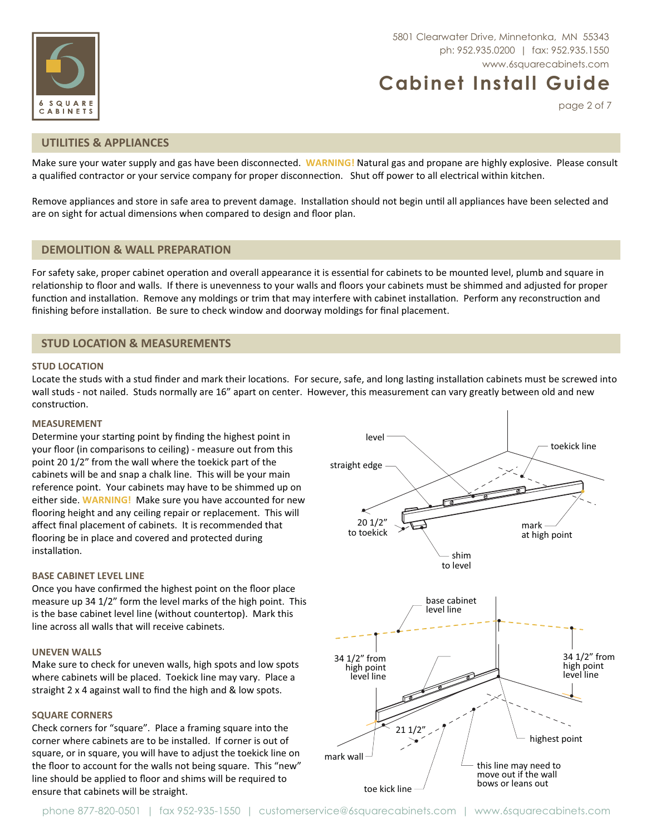



page 2 of 7

#### **UTILITIES & APPLIANCES**

Make sure your water supply and gas have been disconnected. WARNING! Natural gas and propane are highly explosive. Please consult a qualified contractor or your service company for proper disconnection. Shut off power to all electrical within kitchen.

Remove appliances and store in safe area to prevent damage. Installation should not begin until all appliances have been selected and are on sight for actual dimensions when compared to design and floor plan.

#### **DEMOLITION & WALL PREPARATION**

For safety sake, proper cabinet operation and overall appearance it is essential for cabinets to be mounted level, plumb and square in relationship to floor and walls. If there is unevenness to your walls and floors your cabinets must be shimmed and adjusted for proper function and installation. Remove any moldings or trim that may interfere with cabinet installation. Perform any reconstruction and finishing before installation. Be sure to check window and doorway moldings for final placement.

## **STUD LOCATION & MEASUREMENTS**

#### **STUD LOCATION**

Locate the studs with a stud finder and mark their locations. For secure, safe, and long lasting installation cabinets must be screwed into wall studs - not nailed. Studs normally are 16" apart on center. However, this measurement can vary greatly between old and new construction.

#### **MEASUREMENT**

Determine your starting point by finding the highest point in your floor (in comparisons to ceiling) - measure out from this point 20 1/2" from the wall where the toekick part of the cabinets will be and snap a chalk line. This will be your main reference point. Your cabinets may have to be shimmed up on either side. WARNING! Make sure you have accounted for new flooring height and any ceiling repair or replacement. This will affect final placement of cabinets. It is recommended that flooring be in place and covered and protected during installation.

#### **BASE CABINET LEVEL LINE**

Once you have confirmed the highest point on the floor place measure up 34 1/2" form the level marks of the high point. This is the base cabinet level line (without countertop). Mark this line across all walls that will receive cabinets.

#### **UNEVEN WALLS**

Make sure to check for uneven walls, high spots and low spots where cabinets will be placed. Toekick line may vary. Place a straight 2 x 4 against wall to find the high and & low spots.

#### **SQUARE CORNERS**

Check corners for "square". Place a framing square into the corner where cabinets are to be installed. If corner is out of square, or in square, you will have to adjust the toekick line on the floor to account for the walls not being square. This "new" line should be applied to floor and shims will be required to ensure that cabinets will be straight.

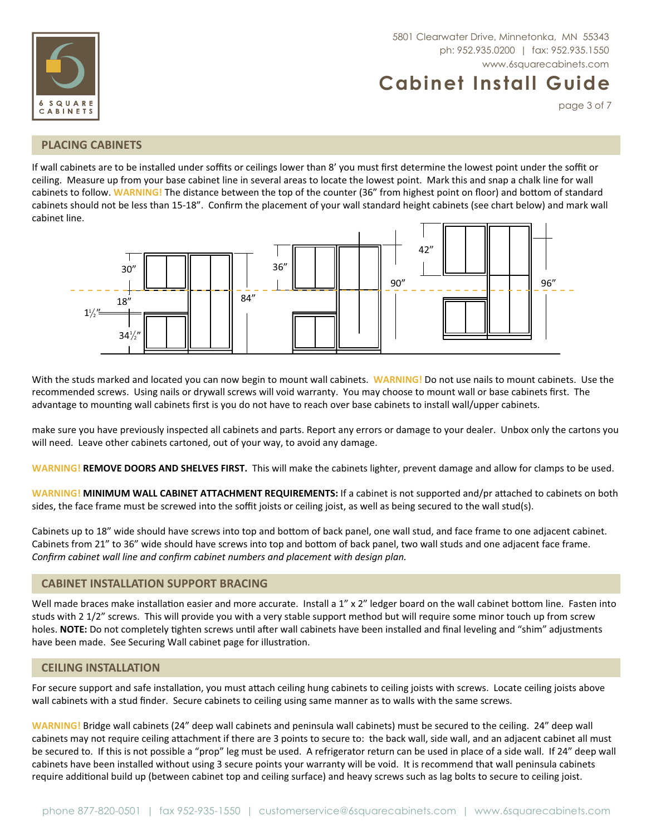



page 3 of 7

## **PLACING CABINETS**

If wall cabinets are to be installed under soffits or ceilings lower than 8' you must first determine the lowest point under the soffit or ceiling. Measure up from your base cabinet line in several areas to locate the lowest point. Mark this and snap a chalk line for wall cabinets to follow. WARNING! The distance between the top of the counter (36" from highest point on floor) and bottom of standard cabinets should not be less than 15-18". Confirm the placement of your wall standard height cabinets (see chart below) and mark wall cabinet line.



With the studs marked and located you can now begin to mount wall cabinets. WARNING! Do not use nails to mount cabinets. Use the recommended screws. Using nails or drywall screws will void warranty. You may choose to mount wall or base cabinets first. The advantage to mounting wall cabinets first is you do not have to reach over base cabinets to install wall/upper cabinets.

make sure you have previously inspected all cabinets and parts. Report any errors or damage to your dealer. Unbox only the cartons you will need. Leave other cabinets cartoned, out of your way, to avoid any damage.

WARNING! REMOVE DOORS AND SHELVES FIRST. This will make the cabinets lighter, prevent damage and allow for clamps to be used.

WARNING! MINIMUM WALL CABINET ATTACHMENT REQUIREMENTS: If a cabinet is not supported and/pr attached to cabinets on both sides, the face frame must be screwed into the soffit joists or ceiling joist, as well as being secured to the wall stud(s).

Cabinets up to 18" wide should have screws into top and bottom of back panel, one wall stud, and face frame to one adjacent cabinet. Cabinets from 21" to 36" wide should have screws into top and bottom of back panel, two wall studs and one adjacent face frame. Confirm cabinet wall line and confirm cabinet numbers and placement with design plan.

## **CABINET INSTALLATION SUPPORT BRACING**

Well made braces make installation easier and more accurate. Install a 1" x 2" ledger board on the wall cabinet bottom line. Fasten into studs with 2 1/2" screws. This will provide you with a very stable support method but will require some minor touch up from screw holes. NOTE: Do not completely tighten screws until after wall cabinets have been installed and final leveling and "shim" adjustments have been made. See Securing Wall cabinet page for illustration.

## **CEILING INSTALLATION**

For secure support and safe installation, you must attach ceiling hung cabinets to ceiling joists with screws. Locate ceiling joists above wall cabinets with a stud finder. Secure cabinets to ceiling using same manner as to walls with the same screws.

WARNING! Bridge wall cabinets (24" deep wall cabinets and peninsula wall cabinets) must be secured to the ceiling. 24" deep wall cabinets may not require ceiling attachment if there are 3 points to secure to: the back wall, side wall, and an adjacent cabinet all must be secured to. If this is not possible a "prop" leg must be used. A refrigerator return can be used in place of a side wall. If 24" deep wall cabinets have been installed without using 3 secure points your warranty will be void. It is recommend that wall peninsula cabinets require additional build up (between cabinet top and ceiling surface) and heavy screws such as lag bolts to secure to ceiling joist.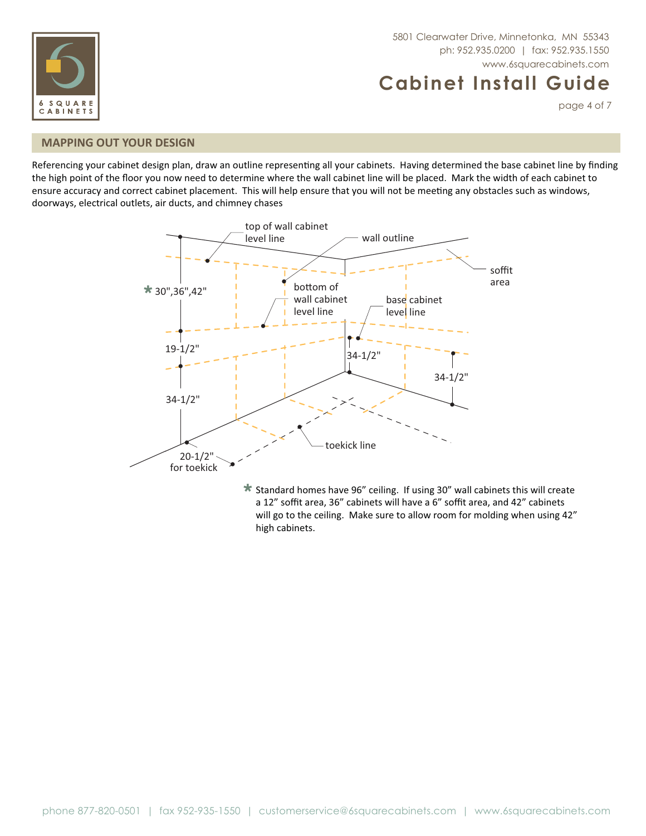



page 4 of 7

# **MAPPING OUT YOUR DESIGN**

Referencing your cabinet design plan, draw an outline representing all your cabinets. Having determined the base cabinet line by finding the high point of the floor you now need to determine where the wall cabinet line will be placed. Mark the width of each cabinet to ensure accuracy and correct cabinet placement. This will help ensure that you will not be meeting any obstacles such as windows, doorways, electrical outlets, air ducts, and chimney chases



**\*** Standard homes have 96" ceiling. If using 30" wall cabinets this will create a 12" soffit area, 36" cabinets will have a 6" soffit area, and 42" cabinets a 12" soffit area, 36" cabinets will have a 6" soffit area, and 42" cabinets will go to the ceiling. Make sure to allow room for molding when using 42" high cabinets.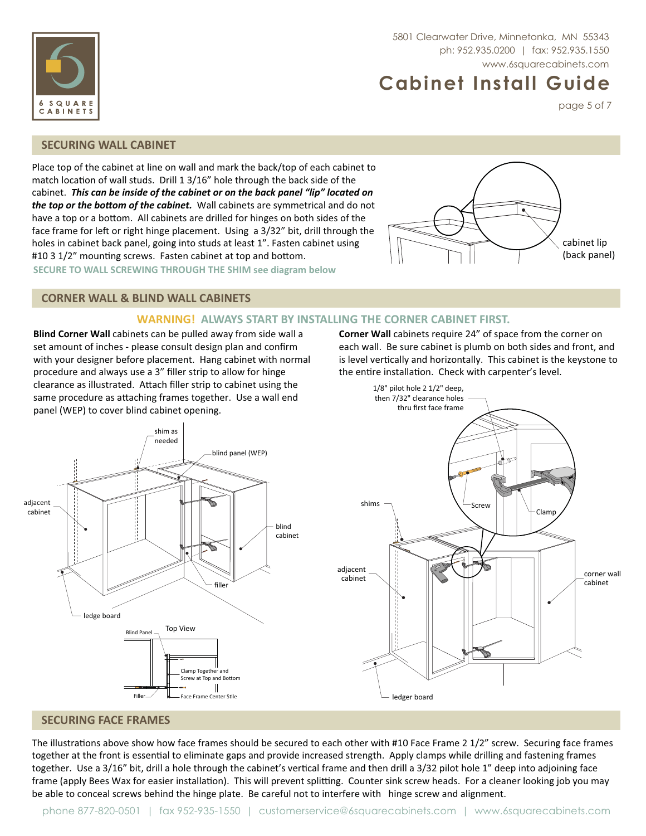

page 5 of 7

# **SECURING WALL CABINET**

SQUARE CABINETS

Place top of the cabinet at line on wall and mark the back/top of each cabinet to match location of wall studs. Drill 1 3/16" hole through the back side of the !*This can be inside of the cabinet or on the back panel "lip" located on*  the top or the bottom of the cabinet. Wall cabinets are symmetrical and do not have a top or a bottom. All cabinets are drilled for hinges on both sides of the face frame for left or right hinge placement. Using a 3/32" bit, drill through the holes in cabinet back panel, going into studs at least 1". Fasten cabinet using #10 3 1/2" mounting screws. Fasten cabinet at top and bottom. **SECURE TO WALL SCREWING THROUGH THE SHIM see diagram below**



# **CORNER WALL & BLIND WALL CABINETS**

## **WARNING! ALWAYS START BY INSTALLING THE CORNER CABINET FIRST.**

**Blind Corner Wall** cabinets can be pulled away from side wall a set amount of inches - please consult design plan and confirm with your designer before placement. Hang cabinet with normal procedure and always use a 3" filler strip to allow for hinge clearance as illustrated. Attach filler strip to cabinet using the same procedure as attaching frames together. Use a wall end panel (WEP) to cover blind cabinet opening.

Corner Wall cabinets require 24" of space from the corner on each wall. Be sure cabinet is plumb on both sides and front, and is level vertically and horizontally. This cabinet is the keystone to the entire installation. Check with carpenter's level.





#### **SECURING FACE FRAMES**

The illustrations above show how face frames should be secured to each other with #10 Face Frame 2 1/2" screw. Securing face frames together at the front is essential to eliminate gaps and provide increased strength. Apply clamps while drilling and fastening frames together. Use a 3/16" bit, drill a hole through the cabinet's vertical frame and then drill a 3/32 pilot hole 1" deep into adjoining face frame (apply Bees Wax for easier installation). This will prevent splitting. Counter sink screw heads. For a cleaner looking job you may be able to conceal screws behind the hinge plate. Be careful not to interfere with hinge screw and alignment.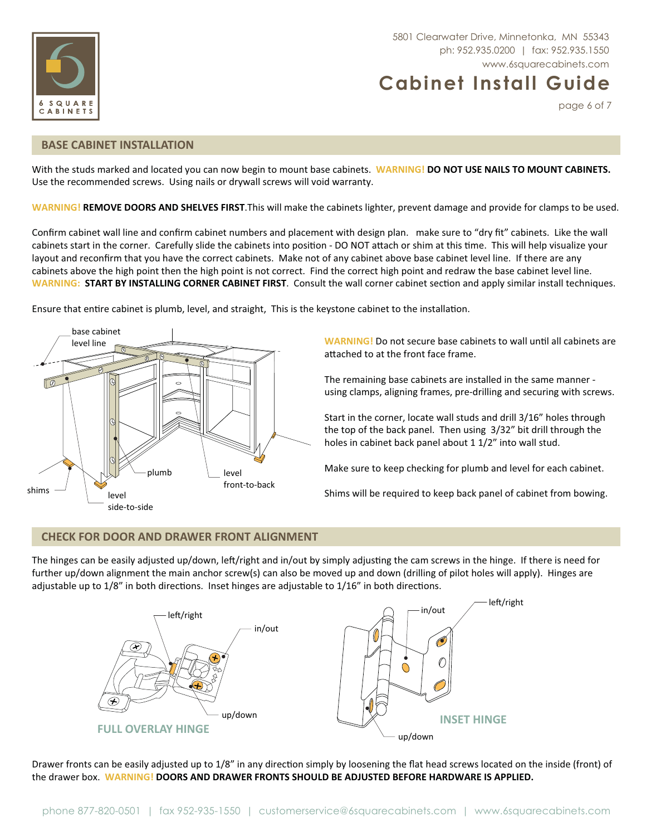

5801 Clearwater Drive, Minnetonka, MN 55343 www.6squarecabinets.com

# **Cabinet Install Guide**

page 6 of 7

#### **BASE CABINET INSTALLATION**

With the studs marked and located you can now begin to mount base cabinets. **WARNING! DO NOT USE NAILS TO MOUNT CABINETS.**  Use the recommended screws. Using nails or drywall screws will void warranty.

**WARNING! REMOVE DOORS AND SHELVES FIRST**.This will make the cabinets lighter, prevent damage and provide for clamps to be used.

Confirm cabinet wall line and confirm cabinet numbers and placement with design plan. make sure to "dry fit" cabinets. Like the wall cabinets start in the corner. Carefully slide the cabinets into position - DO NOT attach or shim at this time. This will help visualize your layout and reconfirm that you have the correct cabinets. Make not of any cabinet above base cabinet level line. If there are any cabinets above the high point then the high point is not correct. Find the correct high point and redraw the base cabinet level line. WARNING: START BY INSTALLING CORNER CABINET FIRST. Consult the wall corner cabinet section and apply similar install techniques.

Ensure that entire cabinet is plumb, level, and straight, This is the keystone cabinet to the installation.



**WARNING!** Do not secure base cabinets to wall until all cabinets are attached to at the front face frame.

The remaining base cabinets are installed in the same manner using clamps, aligning frames, pre-drilling and securing with screws.

Start in the corner, locate wall studs and drill 3/16" holes through the top of the back panel. Then using 3/32" bit drill through the holes in cabinet back panel about 1 1/2" into wall stud.

Make sure to keep checking for plumb and level for each cabinet.

Shims will be required to keep back panel of cabinet from bowing.

## **CHECK FOR DOOR AND DRAWER FRONT ALIGNMENT**

The hinges can be easily adjusted up/down, left/right and in/out by simply adjusting the cam screws in the hinge. If there is need for further up/down alignment the main anchor screw(s) can also be moved up and down (drilling of pilot holes will apply). Hinges are adjustable up to 1/8" in both directions. Inset hinges are adjustable to 1/16" in both directions.



Drawer fronts can be easily adjusted up to 1/8" in any direction simply by loosening the flat head screws located on the inside (front) of the drawer box. **WARNING! DOORS AND DRAWER FRONTS SHOULD BE ADJUSTED BEFORE HARDWARE IS APPLIED.**